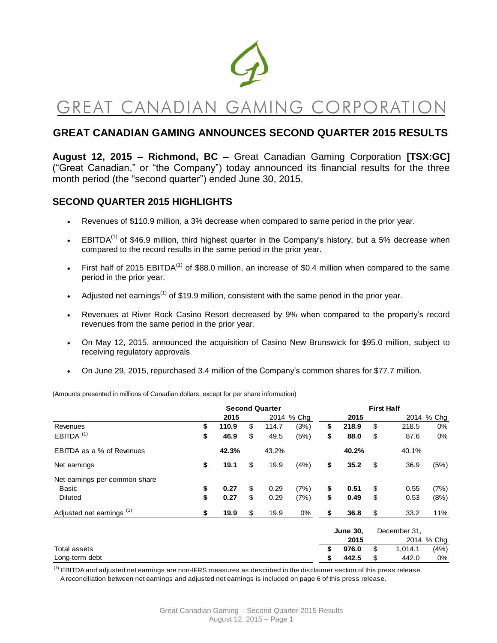

# GREAT CANADIAN GAMING CORPORATI

# **GREAT CANADIAN GAMING ANNOUNCES SECOND QUARTER 2015 RESULTS**

**August 12, 2015 – Richmond, BC –** Great Canadian Gaming Corporation **[TSX:GC]**  ("Great Canadian," or "the Company") today announced its financial results for the three month period (the "second quarter") ended June 30, 2015.

# **SECOND QUARTER 2015 HIGHLIGHTS**

- Revenues of \$110.9 million, a 3% decrease when compared to same period in the prior year.
- EBITDA $^{(1)}$  of \$46.9 million, third highest quarter in the Company's history, but a 5% decrease when compared to the record results in the same period in the prior year.
- First half of 2015 EBITDA<sup>(1)</sup> of \$88.0 million, an increase of \$0.4 million when compared to the same period in the prior year.
- Adjusted net earnings<sup>(1)</sup> of \$19.9 million, consistent with the same period in the prior year.
- Revenues at River Rock Casino Resort decreased by 9% when compared to the property's record revenues from the same period in the prior year.
- On May 12, 2015, announced the acquisition of Casino New Brunswick for \$95.0 million, subject to receiving regulatory approvals.
- On June 29, 2015, repurchased 3.4 million of the Company's common shares for \$77.7 million.

(Amounts presented in millions of Canadian dollars, except for per share information)

|                                      | <b>Second Quarter</b> |       |    |       |            | <b>First Half</b> |                 |              |         |            |  |
|--------------------------------------|-----------------------|-------|----|-------|------------|-------------------|-----------------|--------------|---------|------------|--|
|                                      |                       | 2015  |    |       | 2014 % Chg |                   | 2015            |              |         | 2014 % Chg |  |
| Revenues                             | \$                    | 110.9 | \$ | 114.7 | (3%)       | \$                | 218.9           | \$           | 218.5   | 0%         |  |
| $EBITDA$ <sup>(1)</sup>              | \$                    | 46.9  | \$ | 49.5  | (5%)       | \$                | 88.0            | \$           | 87.6    | 0%         |  |
| EBITDA as a % of Revenues            |                       | 42.3% |    | 43.2% |            |                   | 40.2%           |              | 40.1%   |            |  |
| Net earnings                         | \$                    | 19.1  | \$ | 19.9  | (4%)       | \$                | 35.2            | \$           | 36.9    | (5%)       |  |
| Net earnings per common share        |                       |       |    |       |            |                   |                 |              |         |            |  |
| Basic                                | \$                    | 0.27  | \$ | 0.29  | (7%)       | \$                | 0.51            | \$           | 0.55    | (7%)       |  |
| <b>Diluted</b>                       | \$                    | 0.27  | \$ | 0.29  | (7%)       | \$                | 0.49            | \$           | 0.53    | (8%)       |  |
| Adjusted net earnings <sup>(1)</sup> | \$                    | 19.9  | \$ | 19.9  | $0\%$      | \$                | 36.8            | \$           | 33.2    | 11%        |  |
|                                      |                       |       |    |       |            |                   | <b>June 30,</b> | December 31, |         |            |  |
|                                      |                       |       |    |       |            |                   | 2015            |              |         | 2014 % Chg |  |
| Total assets                         |                       |       |    |       |            | \$                | 976.0           | \$           | 1,014.1 | (4%)       |  |

 $<sup>(1)</sup>$  EBITDA and adjusted net earnings are non-IFRS measures as described in the disclaimer section of this press release.</sup> A reconciliation between net earnings and adjusted net earnings is included on page 6 of this press release.

Long-term debt **\$ 442.5** \$ 442.0 0%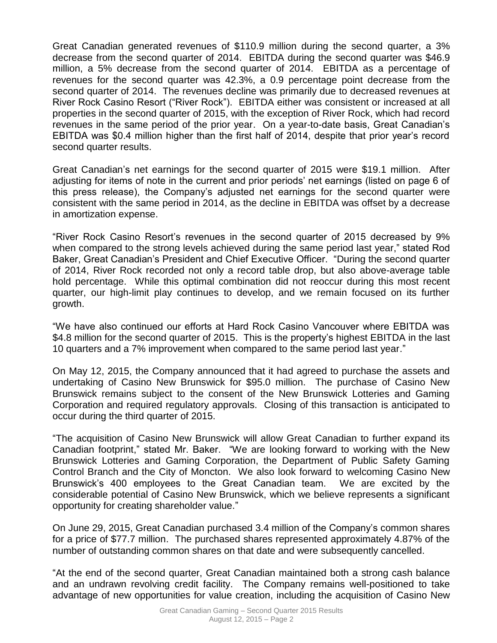Great Canadian generated revenues of \$110.9 million during the second quarter, a 3% decrease from the second quarter of 2014. EBITDA during the second quarter was \$46.9 million, a 5% decrease from the second quarter of 2014. EBITDA as a percentage of revenues for the second quarter was 42.3%, a 0.9 percentage point decrease from the second quarter of 2014. The revenues decline was primarily due to decreased revenues at River Rock Casino Resort ("River Rock"). EBITDA either was consistent or increased at all properties in the second quarter of 2015, with the exception of River Rock, which had record revenues in the same period of the prior year. On a year-to-date basis, Great Canadian's EBITDA was \$0.4 million higher than the first half of 2014, despite that prior year's record second quarter results.

Great Canadian's net earnings for the second quarter of 2015 were \$19.1 million. After adjusting for items of note in the current and prior periods' net earnings (listed on page 6 of this press release), the Company's adjusted net earnings for the second quarter were consistent with the same period in 2014, as the decline in EBITDA was offset by a decrease in amortization expense.

"River Rock Casino Resort's revenues in the second quarter of 2015 decreased by 9% when compared to the strong levels achieved during the same period last year," stated Rod Baker, Great Canadian's President and Chief Executive Officer. "During the second quarter of 2014, River Rock recorded not only a record table drop, but also above-average table hold percentage. While this optimal combination did not reoccur during this most recent quarter, our high-limit play continues to develop, and we remain focused on its further growth.

"We have also continued our efforts at Hard Rock Casino Vancouver where EBITDA was \$4.8 million for the second quarter of 2015. This is the property's highest EBITDA in the last 10 quarters and a 7% improvement when compared to the same period last year."

On May 12, 2015, the Company announced that it had agreed to purchase the assets and undertaking of Casino New Brunswick for \$95.0 million. The purchase of Casino New Brunswick remains subject to the consent of the New Brunswick Lotteries and Gaming Corporation and required regulatory approvals. Closing of this transaction is anticipated to occur during the third quarter of 2015.

"The acquisition of Casino New Brunswick will allow Great Canadian to further expand its Canadian footprint," stated Mr. Baker. "We are looking forward to working with the New Brunswick Lotteries and Gaming Corporation, the Department of Public Safety Gaming Control Branch and the City of Moncton. We also look forward to welcoming Casino New Brunswick's 400 employees to the Great Canadian team. We are excited by the considerable potential of Casino New Brunswick, which we believe represents a significant opportunity for creating shareholder value."

On June 29, 2015, Great Canadian purchased 3.4 million of the Company's common shares for a price of \$77.7 million. The purchased shares represented approximately 4.87% of the number of outstanding common shares on that date and were subsequently cancelled.

"At the end of the second quarter, Great Canadian maintained both a strong cash balance and an undrawn revolving credit facility. The Company remains well-positioned to take advantage of new opportunities for value creation, including the acquisition of Casino New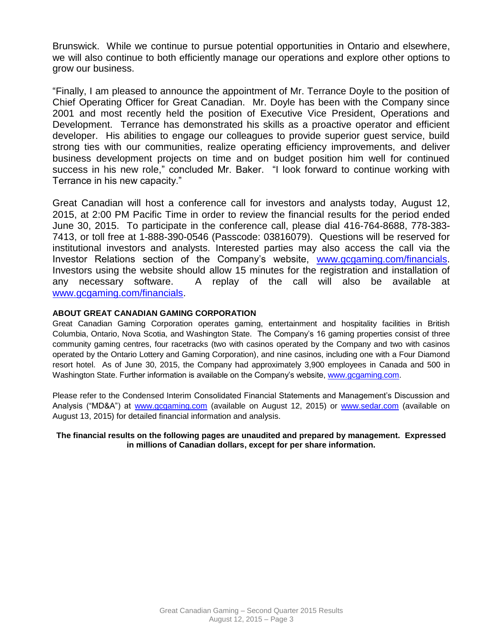Brunswick. While we continue to pursue potential opportunities in Ontario and elsewhere, we will also continue to both efficiently manage our operations and explore other options to grow our business.

"Finally, I am pleased to announce the appointment of Mr. Terrance Doyle to the position of Chief Operating Officer for Great Canadian. Mr. Doyle has been with the Company since 2001 and most recently held the position of Executive Vice President, Operations and Development. Terrance has demonstrated his skills as a proactive operator and efficient developer. His abilities to engage our colleagues to provide superior guest service, build strong ties with our communities, realize operating efficiency improvements, and deliver business development projects on time and on budget position him well for continued success in his new role," concluded Mr. Baker. "I look forward to continue working with Terrance in his new capacity."

Great Canadian will host a conference call for investors and analysts today, August 12, 2015, at 2:00 PM Pacific Time in order to review the financial results for the period ended June 30, 2015. To participate in the conference call, please dial 416-764-8688, 778-383- 7413, or toll free at 1-888-390-0546 (Passcode: 03816079). Questions will be reserved for institutional investors and analysts. Interested parties may also access the call via the Investor Relations section of the Company's website, [www.gcgaming.com/financials.](http://www.gcgaming.com/financials) Investors using the website should allow 15 minutes for the registration and installation of any necessary software. A replay of the call will also be available at [www.gcgaming.com/financials.](http://www.gcgaming.com/financials)

#### **ABOUT GREAT CANADIAN GAMING CORPORATION**

Great Canadian Gaming Corporation operates gaming, entertainment and hospitality facilities in British Columbia, Ontario, Nova Scotia, and Washington State. The Company's 16 gaming properties consist of three community gaming centres, four racetracks (two with casinos operated by the Company and two with casinos operated by the Ontario Lottery and Gaming Corporation), and nine casinos, including one with a Four Diamond resort hotel. As of June 30, 2015, the Company had approximately 3,900 employees in Canada and 500 in Washington State. Further information is available on the Company's website, [www.gcgaming.com.](http://www.gcgaming.com/)

Please refer to the Condensed Interim Consolidated Financial Statements and Management's Discussion and Analysis ("MD&A") at [www.gcgaming.com](http://www.gcgaming.com/) (available on August 12, 2015) or [www.sedar.com](http://www.sedar.com/) (available on August 13, 2015) for detailed financial information and analysis.

#### **The financial results on the following pages are unaudited and prepared by management. Expressed in millions of Canadian dollars, except for per share information.**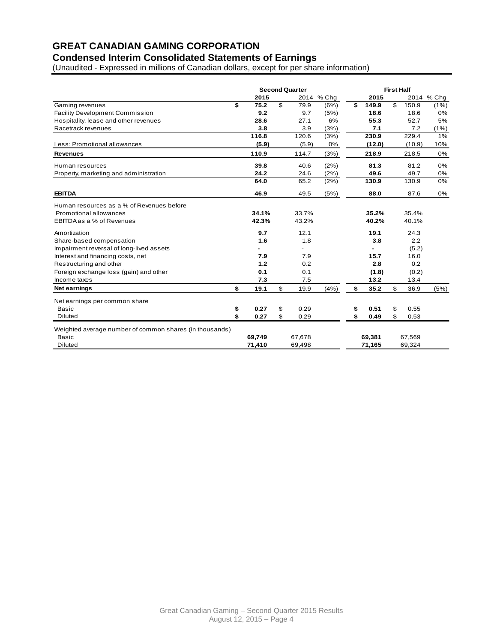# **GREAT CANADIAN GAMING CORPORATION**

# **Condensed Interim Consolidated Statements of Earnings**

(Unaudited - Expressed in millions of Canadian dollars, except for per share information)

|                                                         | <b>Second Quarter</b> |        |    |        | <b>First Half</b> |    |        |    |        |            |
|---------------------------------------------------------|-----------------------|--------|----|--------|-------------------|----|--------|----|--------|------------|
|                                                         |                       | 2015   |    |        | 2014 % Cha        |    | 2015   |    |        | 2014 % Chq |
| Gaming revenues                                         | \$                    | 75.2   | \$ | 79.9   | (6%)              | \$ | 149.9  | \$ | 150.9  | (1%)       |
| <b>Facility Development Commission</b>                  |                       | 9.2    |    | 9.7    | (5%)              |    | 18.6   |    | 18.6   | 0%         |
| Hospitality, lease and other revenues                   |                       | 28.6   |    | 27.1   | 6%                |    | 55.3   |    | 52.7   | 5%         |
| Racetrack revenues                                      |                       | 3.8    |    | 3.9    | (3%)              |    | 7.1    |    | 7.2    | (1%)       |
|                                                         |                       | 116.8  |    | 120.6  | (3%)              |    | 230.9  |    | 229.4  | 1%         |
| Less: Promotional allowances                            |                       | (5.9)  |    | (5.9)  | 0%                |    | (12.0) |    | (10.9) | 10%        |
| <b>Revenues</b>                                         |                       | 110.9  |    | 114.7  | (3%)              |    | 218.9  |    | 218.5  | 0%         |
| Human resources                                         |                       | 39.8   |    | 40.6   | (2%)              |    | 81.3   |    | 81.2   | 0%         |
| Property, marketing and administration                  |                       | 24.2   |    | 24.6   | (2%)              |    | 49.6   |    | 49.7   | 0%         |
|                                                         |                       | 64.0   |    | 65.2   | (2%)              |    | 130.9  |    | 130.9  | 0%         |
| <b>EBITDA</b>                                           |                       | 46.9   |    | 49.5   | (5%)              |    | 88.0   |    | 87.6   | 0%         |
| Human resources as a % of Revenues before               |                       |        |    |        |                   |    |        |    |        |            |
| Promotional allowances                                  |                       | 34.1%  |    | 33.7%  |                   |    | 35.2%  |    | 35.4%  |            |
| EBITDA as a % of Revenues                               |                       | 42.3%  |    | 43.2%  |                   |    | 40.2%  |    | 40.1%  |            |
| Amortization                                            |                       | 9.7    |    | 12.1   |                   |    | 19.1   |    | 24.3   |            |
| Share-based compensation                                |                       | 1.6    |    | 1.8    |                   |    | 3.8    |    | 2.2    |            |
| Impairment reversal of long-lived assets                |                       |        |    |        |                   |    |        |    | (5.2)  |            |
| Interest and financing costs, net                       |                       | 7.9    |    | 7.9    |                   |    | 15.7   |    | 16.0   |            |
| Restructuring and other                                 |                       | 1.2    |    | 0.2    |                   |    | 2.8    |    | 0.2    |            |
| Foreign exchange loss (gain) and other                  |                       | 0.1    |    | 0.1    |                   |    | (1.8)  |    | (0.2)  |            |
| Income taxes                                            |                       | 7.3    |    | 7.5    |                   |    | 13.2   |    | 13.4   |            |
| <b>Net earnings</b>                                     | \$                    | 19.1   | \$ | 19.9   | (4% )             | \$ | 35.2   | \$ | 36.9   | (5%)       |
| Net earnings per common share                           |                       |        |    |        |                   |    |        |    |        |            |
| <b>Basic</b>                                            | \$                    | 0.27   | \$ | 0.29   |                   | \$ | 0.51   | \$ | 0.55   |            |
| <b>Diluted</b>                                          | \$                    | 0.27   | \$ | 0.29   |                   | \$ | 0.49   | \$ | 0.53   |            |
| Weighted average number of common shares (in thousands) |                       |        |    |        |                   |    |        |    |        |            |
| <b>Basic</b>                                            |                       | 69.749 |    | 67,678 |                   |    | 69.381 |    | 67,569 |            |
| Diluted                                                 |                       | 71,410 |    | 69,498 |                   |    | 71,165 |    | 69,324 |            |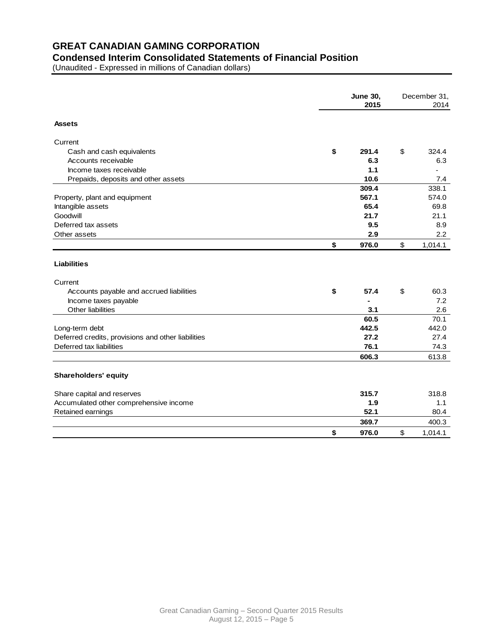# **GREAT CANADIAN GAMING CORPORATION**

# **Condensed Interim Consolidated Statements of Financial Position**

(Unaudited - Expressed in millions of Canadian dollars)

| <b>Assets</b><br>Current<br>Cash and cash equivalents<br>Accounts receivable<br>Income taxes receivable<br>Prepaids, deposits and other assets<br>Property, plant and equipment<br>Intangible assets<br>Goodwill<br>Deferred tax assets<br>Other assets | \$<br>291.4 |               |         |
|---------------------------------------------------------------------------------------------------------------------------------------------------------------------------------------------------------------------------------------------------------|-------------|---------------|---------|
|                                                                                                                                                                                                                                                         |             |               |         |
|                                                                                                                                                                                                                                                         |             |               |         |
|                                                                                                                                                                                                                                                         |             | \$            | 324.4   |
|                                                                                                                                                                                                                                                         | 6.3         |               | 6.3     |
|                                                                                                                                                                                                                                                         | 1.1         |               |         |
|                                                                                                                                                                                                                                                         | 10.6        |               | 7.4     |
|                                                                                                                                                                                                                                                         | 309.4       |               | 338.1   |
|                                                                                                                                                                                                                                                         | 567.1       |               | 574.0   |
|                                                                                                                                                                                                                                                         | 65.4        |               | 69.8    |
|                                                                                                                                                                                                                                                         | 21.7        |               | 21.1    |
|                                                                                                                                                                                                                                                         | 9.5         |               | 8.9     |
|                                                                                                                                                                                                                                                         | 2.9         |               | 2.2     |
|                                                                                                                                                                                                                                                         | \$<br>976.0 | $\mathsf{\$}$ | 1,014.1 |
| <b>Liabilities</b><br>Current                                                                                                                                                                                                                           |             |               |         |
| Accounts payable and accrued liabilities                                                                                                                                                                                                                | \$<br>57.4  | \$            | 60.3    |
| Income taxes payable                                                                                                                                                                                                                                    |             |               | 7.2     |
| Other liabilities                                                                                                                                                                                                                                       | 3.1         |               | 2.6     |
|                                                                                                                                                                                                                                                         | 60.5        |               | 70.1    |
| Long-term debt                                                                                                                                                                                                                                          | 442.5       |               | 442.0   |
| Deferred credits, provisions and other liabilities                                                                                                                                                                                                      | 27.2        |               | 27.4    |
| Deferred tax liabilities                                                                                                                                                                                                                                | 76.1        |               | 74.3    |
|                                                                                                                                                                                                                                                         | 606.3       |               | 613.8   |
|                                                                                                                                                                                                                                                         |             |               |         |
| <b>Shareholders' equity</b>                                                                                                                                                                                                                             |             |               |         |
| Share capital and reserves                                                                                                                                                                                                                              | 315.7       |               | 318.8   |
| Accumulated other comprehensive income                                                                                                                                                                                                                  | 1.9         |               | 1.1     |
| Retained earnings                                                                                                                                                                                                                                       | 52.1        |               | 80.4    |
|                                                                                                                                                                                                                                                         | 369.7       |               | 400.3   |
|                                                                                                                                                                                                                                                         |             |               |         |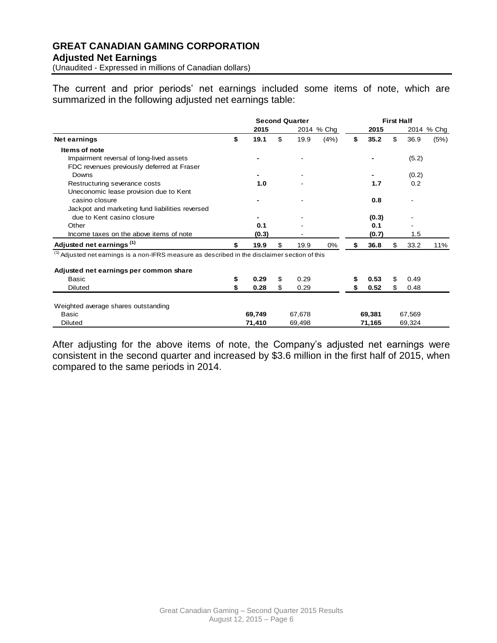# **GREAT CANADIAN GAMING CORPORATION Adjusted Net Earnings**

(Unaudited - Expressed in millions of Canadian dollars)

The current and prior periods' net earnings included some items of note, which are summarized in the following adjusted net earnings table:

|                                                                                            | <b>Second Quarter</b> |       |    |      |            | <b>First Half</b> |       |    |               |            |
|--------------------------------------------------------------------------------------------|-----------------------|-------|----|------|------------|-------------------|-------|----|---------------|------------|
|                                                                                            |                       | 2015  |    |      | 2014 % Chg |                   | 2015  |    |               | 2014 % Chg |
| Net earnings                                                                               | \$                    | 19.1  | \$ | 19.9 | (4%)       | \$                | 35.2  | \$ | 36.9          | (5%)       |
| Items of note                                                                              |                       |       |    |      |            |                   |       |    |               |            |
| Impairment reversal of long-lived assets                                                   |                       |       |    |      |            |                   |       |    | (5.2)         |            |
| FDC revenues previously deferred at Fraser                                                 |                       |       |    |      |            |                   |       |    |               |            |
| Downs                                                                                      |                       |       |    |      |            |                   |       |    | (0.2)         |            |
| Restructuring severance costs                                                              |                       | 1.0   |    |      |            |                   | 1.7   |    | 0.2           |            |
| Uneconomic lease provision due to Kent                                                     |                       |       |    |      |            |                   |       |    |               |            |
| casino closure                                                                             |                       |       |    |      |            |                   | 0.8   |    |               |            |
| Jackpot and marketing fund liabilities reversed                                            |                       |       |    |      |            |                   |       |    |               |            |
| due to Kent casino closure                                                                 |                       |       |    |      |            |                   | (0.3) |    |               |            |
| Other                                                                                      |                       | 0.1   |    |      |            |                   | 0.1   |    |               |            |
| Income taxes on the above items of note                                                    |                       | (0.3) |    |      |            |                   | (0.7) |    | $1.5^{\circ}$ |            |
| Adjusted net earnings <sup>(1)</sup>                                                       | \$                    | 19.9  | \$ | 19.9 | 0%         |                   | 36.8  | \$ | 33.2          | 11%        |
| Adjusted net earnings is a non-IFRS measure as described in the disclaimer section of this |                       |       |    |      |            |                   |       |    |               |            |
| Adjusted net earnings per common share                                                     |                       |       |    |      |            |                   |       |    |               |            |
| Basic                                                                                      | \$                    | 0.29  | \$ | 0.29 |            |                   | 0.53  | \$ | 0.49          |            |
| <b>Diluted</b>                                                                             |                       | 0.28  | \$ | 0.29 |            |                   | 0.52  | \$ | 0.48          |            |
|                                                                                            |                       |       |    |      |            |                   |       |    |               |            |

Weighted average shares outstanding

Basic **69,749** 67,678 **69,381** 67,569 Diluted **71,410** 69,498 **71,165** 69,324

After adjusting for the above items of note, the Company's adjusted net earnings were consistent in the second quarter and increased by \$3.6 million in the first half of 2015, when compared to the same periods in 2014.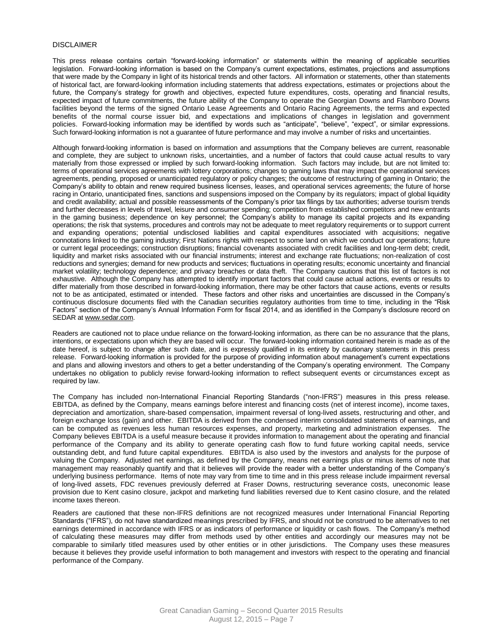#### DISCLAIMER

This press release contains certain "forward-looking information" or statements within the meaning of applicable securities legislation. Forward-looking information is based on the Company's current expectations, estimates, projections and assumptions that were made by the Company in light of its historical trends and other factors. All information or statements, other than statements of historical fact, are forward-looking information including statements that address expectations, estimates or projections about the future, the Company's strategy for growth and objectives, expected future expenditures, costs, operating and financial results, expected impact of future commitments, the future ability of the Company to operate the Georgian Downs and Flamboro Downs facilities beyond the terms of the signed Ontario Lease Agreements and Ontario Racing Agreements, the terms and expected benefits of the normal course issuer bid, and expectations and implications of changes in legislation and government policies. Forward-looking information may be identified by words such as "anticipate", "believe", "expect", or similar expressions. Such forward-looking information is not a guarantee of future performance and may involve a number of risks and uncertainties.

Although forward-looking information is based on information and assumptions that the Company believes are current, reasonable and complete, they are subject to unknown risks, uncertainties, and a number of factors that could cause actual results to vary materially from those expressed or implied by such forward-looking information. Such factors may include, but are not limited to: terms of operational services agreements with lottery corporations; changes to gaming laws that may impact the operational services agreements, pending, proposed or unanticipated regulatory or policy changes; the outcome of restructuring of gaming in Ontario; the Company's ability to obtain and renew required business licenses, leases, and operational services agreements; the future of horse racing in Ontario, unanticipated fines, sanctions and suspensions imposed on the Company by its regulators; impact of global liquidity and credit availability; actual and possible reassessments of the Company's prior tax filings by tax authorities; adverse tourism trends and further decreases in levels of travel, leisure and consumer spending; competition from established competitors and new entrants in the gaming business; dependence on key personnel; the Company's ability to manage its capital projects and its expanding operations; the risk that systems, procedures and controls may not be adequate to meet regulatory requirements or to support current and expanding operations; potential undisclosed liabilities and capital expenditures associated with acquisitions; negative connotations linked to the gaming industry; First Nations rights with respect to some land on which we conduct our operations; future or current legal proceedings; construction disruptions; financial covenants associated with credit facilities and long-term debt; credit, liquidity and market risks associated with our financial instruments; interest and exchange rate fluctuations; non-realization of cost reductions and synergies; demand for new products and services; fluctuations in operating results; economic uncertainty and financial market volatility; technology dependence; and privacy breaches or data theft. The Company cautions that this list of factors is not exhaustive. Although the Company has attempted to identify important factors that could cause actual actions, events or results to differ materially from those described in forward-looking information, there may be other factors that cause actions, events or results not to be as anticipated, estimated or intended. These factors and other risks and uncertainties are discussed in the Company's continuous disclosure documents filed with the Canadian securities regulatory authorities from time to time, including in the "Risk Factors" section of the Company's Annual Information Form for fiscal 2014, and as identified in the Company's disclosure record on SEDAR at [www.sedar.com.](http://www.sedar.com/)

Readers are cautioned not to place undue reliance on the forward-looking information, as there can be no assurance that the plans, intentions, or expectations upon which they are based will occur. The forward-looking information contained herein is made as of the date hereof, is subject to change after such date, and is expressly qualified in its entirety by cautionary statements in this press release. Forward-looking information is provided for the purpose of providing information about management's current expectations and plans and allowing investors and others to get a better understanding of the Company's operating environment. The Company undertakes no obligation to publicly revise forward-looking information to reflect subsequent events or circumstances except as required by law.

The Company has included non-International Financial Reporting Standards ("non-IFRS") measures in this press release. EBITDA, as defined by the Company, means earnings before interest and financing costs (net of interest income), income taxes, depreciation and amortization, share-based compensation, impairment reversal of long-lived assets, restructuring and other, and foreign exchange loss (gain) and other. EBITDA is derived from the condensed interim consolidated statements of earnings, and can be computed as revenues less human resources expenses, and property, marketing and administration expenses. The Company believes EBITDA is a useful measure because it provides information to management about the operating and financial performance of the Company and its ability to generate operating cash flow to fund future working capital needs, service outstanding debt, and fund future capital expenditures. EBITDA is also used by the investors and analysts for the purpose of valuing the Company. Adjusted net earnings, as defined by the Company, means net earnings plus or minus items of note that management may reasonably quantify and that it believes will provide the reader with a better understanding of the Company's underlying business performance. Items of note may vary from time to time and in this press release include impairment reversal of long-lived assets, FDC revenues previously deferred at Fraser Downs, restructuring severance costs, uneconomic lease provision due to Kent casino closure, jackpot and marketing fund liabilities reversed due to Kent casino closure, and the related income taxes thereon.

Readers are cautioned that these non-IFRS definitions are not recognized measures under International Financial Reporting Standards ("IFRS"), do not have standardized meanings prescribed by IFRS, and should not be construed to be alternatives to net earnings determined in accordance with IFRS or as indicators of performance or liquidity or cash flows. The Company's method of calculating these measures may differ from methods used by other entities and accordingly our measures may not be comparable to similarly titled measures used by other entities or in other jurisdictions. The Company uses these measures because it believes they provide useful information to both management and investors with respect to the operating and financial performance of the Company.